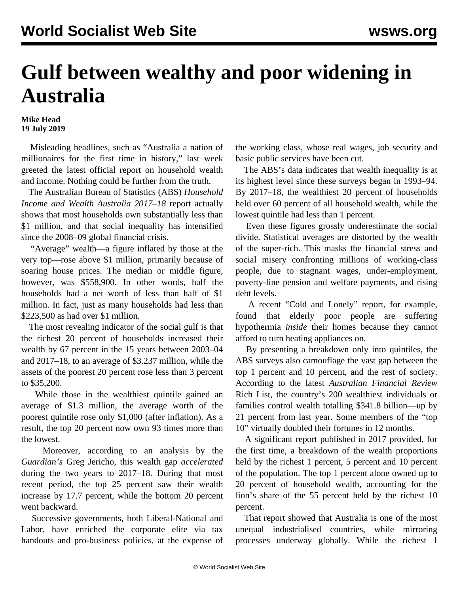## **Gulf between wealthy and poor widening in Australia**

## **Mike Head 19 July 2019**

 Misleading headlines, such as "Australia a nation of millionaires for the first time in history," last week greeted the latest official report on household wealth and income. Nothing could be further from the truth.

 The Australian Bureau of Statistics (ABS) *Household Income and Wealth Australia 2017*–*18* report actually shows that most households own substantially less than \$1 million, and that social inequality has intensified since the 2008–09 global financial crisis.

 "Average" wealth—a figure inflated by those at the very top—rose above \$1 million, primarily because of soaring house prices. The median or middle figure, however, was \$558,900. In other words, half the households had a net worth of less than half of \$1 million. In fact, just as many households had less than \$223,500 as had over \$1 million.

 The most revealing indicator of the social gulf is that the richest 20 percent of households increased their wealth by 67 percent in the 15 years between 2003–04 and 2017–18, to an average of \$3.237 million, while the assets of the poorest 20 percent rose less than 3 percent to \$35,200.

 While those in the wealthiest quintile gained an average of \$1.3 million, the average worth of the poorest quintile rose only \$1,000 (after inflation). As a result, the top 20 percent now own 93 times more than the lowest.

 Moreover, according to an analysis by the *Guardian's* Greg Jericho, this wealth gap *accelerated* during the two years to 2017–18. During that most recent period, the top 25 percent saw their wealth increase by 17.7 percent, while the bottom 20 percent went backward.

 Successive governments, both Liberal-National and Labor, have enriched the corporate elite via tax handouts and pro-business policies, at the expense of the working class, whose real wages, job security and basic public services have been cut.

 The ABS's data indicates that wealth inequality is at its highest level since these surveys began in 1993–94. By 2017–18, the wealthiest 20 percent of households held over 60 percent of all household wealth, while the lowest quintile had less than 1 percent.

 Even these figures grossly underestimate the social divide. Statistical averages are distorted by the wealth of the super-rich. This masks the financial stress and social misery confronting millions of working-class people, due to stagnant wages, under-employment, poverty-line pension and welfare payments, and rising debt levels.

 A recent "Cold and Lonely" [report,](/en/articles/2019/07/13/hypo-j13.html) for example, found that elderly poor people are suffering hypothermia *inside* their homes because they cannot afford to turn heating appliances on.

 By presenting a breakdown only into quintiles, the ABS surveys also camouflage the vast gap between the top 1 percent and 10 percent, and the rest of society. According to the latest *Australian Financial Review* Rich List, the country's 200 wealthiest individuals or families control wealth totalling \$341.8 billion—up by 21 percent from last year. Some members of the "top 10" [virtually doubled](/en/articles/2019/06/01/rich-j01.html) their fortunes in 12 months.

 A significant [report](/en/articles/2017/01/16/ineq-j16.html) published in 2017 provided, for the first time, a breakdown of the wealth proportions held by the richest 1 percent, 5 percent and 10 percent of the population. The top 1 percent alone owned up to 20 percent of household wealth, accounting for the lion's share of the 55 percent held by the richest 10 percent.

 That report showed that Australia is one of the most unequal industrialised countries, while mirroring processes underway globally. While the richest 1